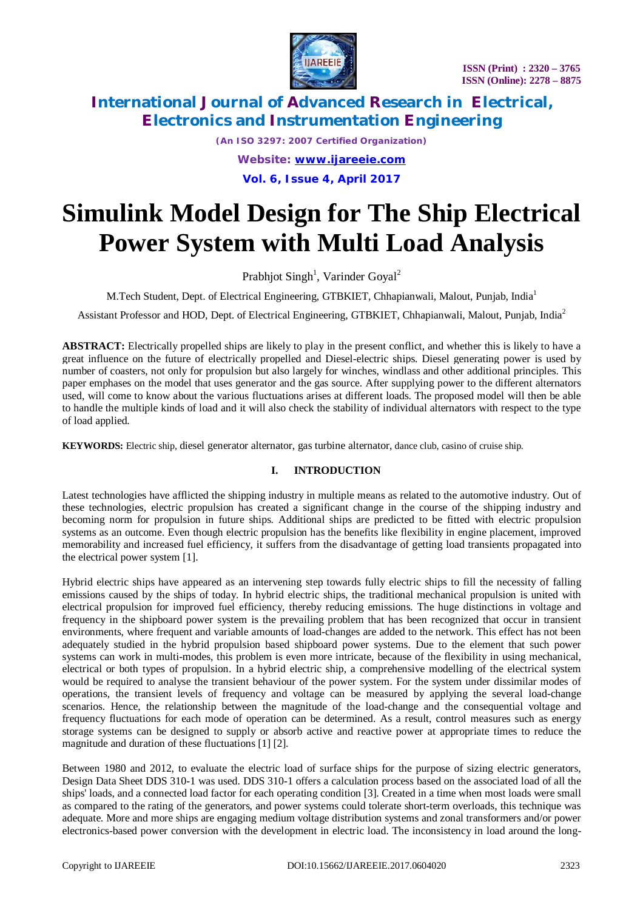

*(An ISO 3297: 2007 Certified Organization) Website: [www.ijareeie.com](http://www.ijareeie.com)* **Vol. 6, Issue 4, April 2017**

# **Simulink Model Design for The Ship Electrical Power System with Multi Load Analysis**

Prabhjot Singh<sup>1</sup>, Varinder Goyal<sup>2</sup>

M.Tech Student, Dept. of Electrical Engineering, GTBKIET, Chhapianwali, Malout, Punjab, India<sup>1</sup>

Assistant Professor and HOD, Dept. of Electrical Engineering, GTBKIET, Chhapianwali, Malout, Punjab, India<sup>2</sup>

**ABSTRACT:** Electrically propelled ships are likely to play in the present conflict, and whether this is likely to have a great influence on the future of electrically propelled and Diesel-electric ships. Diesel generating power is used by number of coasters, not only for propulsion but also largely for winches, windlass and other additional principles. This paper emphases on the model that uses generator and the gas source. After supplying power to the different alternators used, will come to know about the various fluctuations arises at different loads. The proposed model will then be able to handle the multiple kinds of load and it will also check the stability of individual alternators with respect to the type of load applied.

**KEYWORDS:** Electric ship, diesel generator alternator, gas turbine alternator, dance club, casino of cruise ship.

### **I. INTRODUCTION**

Latest technologies have afflicted the shipping industry in multiple means as related to the automotive industry. Out of these technologies, electric propulsion has created a significant change in the course of the shipping industry and becoming norm for propulsion in future ships. Additional ships are predicted to be fitted with electric propulsion systems as an outcome. Even though electric propulsion has the benefits like flexibility in engine placement, improved memorability and increased fuel efficiency, it suffers from the disadvantage of getting load transients propagated into the electrical power system [1].

Hybrid electric ships have appeared as an intervening step towards fully electric ships to fill the necessity of falling emissions caused by the ships of today. In hybrid electric ships, the traditional mechanical propulsion is united with electrical propulsion for improved fuel efficiency, thereby reducing emissions. The huge distinctions in voltage and frequency in the shipboard power system is the prevailing problem that has been recognized that occur in transient environments, where frequent and variable amounts of load-changes are added to the network. This effect has not been adequately studied in the hybrid propulsion based shipboard power systems. Due to the element that such power systems can work in multi-modes, this problem is even more intricate, because of the flexibility in using mechanical, electrical or both types of propulsion. In a hybrid electric ship, a comprehensive modelling of the electrical system would be required to analyse the transient behaviour of the power system. For the system under dissimilar modes of operations, the transient levels of frequency and voltage can be measured by applying the several load-change scenarios. Hence, the relationship between the magnitude of the load-change and the consequential voltage and frequency fluctuations for each mode of operation can be determined. As a result, control measures such as energy storage systems can be designed to supply or absorb active and reactive power at appropriate times to reduce the magnitude and duration of these fluctuations [1] [2].

Between 1980 and 2012, to evaluate the electric load of surface ships for the purpose of sizing electric generators, Design Data Sheet DDS 310-1 was used. DDS 310-1 offers a calculation process based on the associated load of all the ships' loads, and a connected load factor for each operating condition [3]. Created in a time when most loads were small as compared to the rating of the generators, and power systems could tolerate short-term overloads, this technique was adequate. More and more ships are engaging medium voltage distribution systems and zonal transformers and/or power electronics-based power conversion with the development in electric load. The inconsistency in load around the long-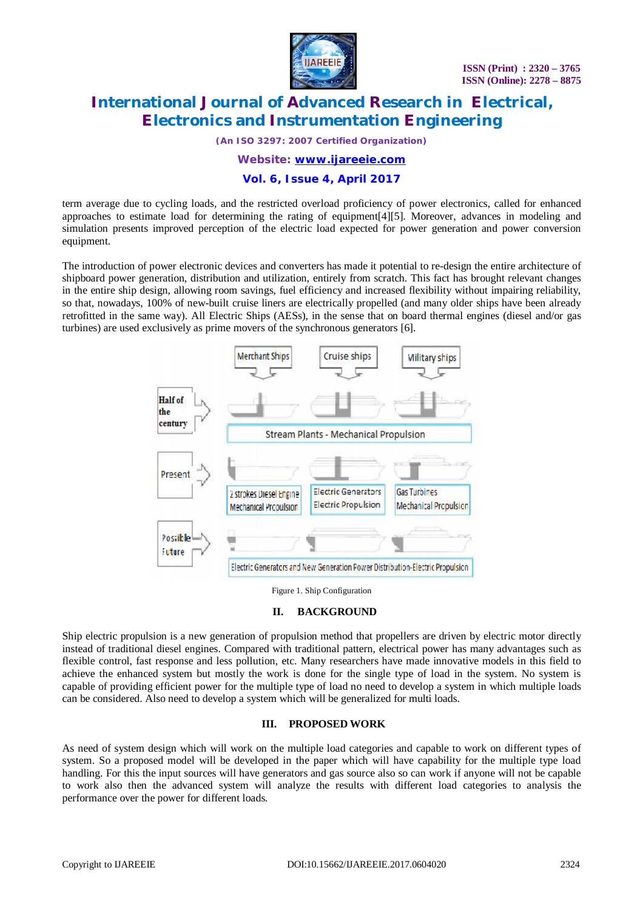

*(An ISO 3297: 2007 Certified Organization)*

*Website: [www.ijareeie.com](http://www.ijareeie.com)*

### **Vol. 6, Issue 4, April 2017**

term average due to cycling loads, and the restricted overload proficiency of power electronics, called for enhanced approaches to estimate load for determining the rating of equipment[4][5]. Moreover, advances in modeling and simulation presents improved perception of the electric load expected for power generation and power conversion equipment.

The introduction of power electronic devices and converters has made it potential to re-design the entire architecture of shipboard power generation, distribution and utilization, entirely from scratch. This fact has brought relevant changes in the entire ship design, allowing room savings, fuel efficiency and increased flexibility without impairing reliability, so that, nowadays, 100% of new-built cruise liners are electrically propelled (and many older ships have been already retrofitted in the same way). All Electric Ships (AESs), in the sense that on board thermal engines (diesel and/or gas turbines) are used exclusively as prime movers of the synchronous generators [6].



Figure 1. Ship Configuration

#### **II. BACKGROUND**

Ship electric propulsion is a new generation of propulsion method that propellers are driven by electric motor directly instead of traditional diesel engines. Compared with traditional pattern, electrical power has many advantages such as flexible control, fast response and less pollution, etc. Many researchers have made innovative models in this field to achieve the enhanced system but mostly the work is done for the single type of load in the system. No system is capable of providing efficient power for the multiple type of load no need to develop a system in which multiple loads can be considered. Also need to develop a system which will be generalized for multi loads.

### **III. PROPOSED WORK**

As need of system design which will work on the multiple load categories and capable to work on different types of system. So a proposed model will be developed in the paper which will have capability for the multiple type load handling. For this the input sources will have generators and gas source also so can work if anyone will not be capable to work also then the advanced system will analyze the results with different load categories to analysis the performance over the power for different loads.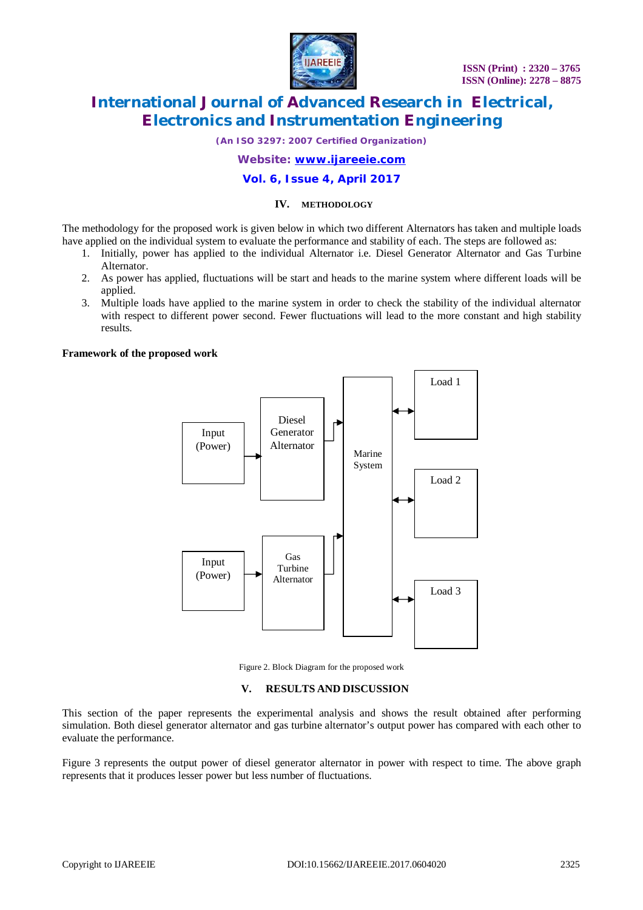

*(An ISO 3297: 2007 Certified Organization)*

*Website: [www.ijareeie.com](http://www.ijareeie.com)*

### **Vol. 6, Issue 4, April 2017**

#### **IV. METHODOLOGY**

The methodology for the proposed work is given below in which two different Alternators has taken and multiple loads have applied on the individual system to evaluate the performance and stability of each. The steps are followed as:

- 1. Initially, power has applied to the individual Alternator i.e. Diesel Generator Alternator and Gas Turbine Alternator.
- 2. As power has applied, fluctuations will be start and heads to the marine system where different loads will be applied.
- 3. Multiple loads have applied to the marine system in order to check the stability of the individual alternator with respect to different power second. Fewer fluctuations will lead to the more constant and high stability results.

#### **Framework of the proposed work**



Figure 2. Block Diagram for the proposed work

#### **V. RESULTS AND DISCUSSION**

This section of the paper represents the experimental analysis and shows the result obtained after performing simulation. Both diesel generator alternator and gas turbine alternator's output power has compared with each other to evaluate the performance.

Figure 3 represents the output power of diesel generator alternator in power with respect to time. The above graph represents that it produces lesser power but less number of fluctuations.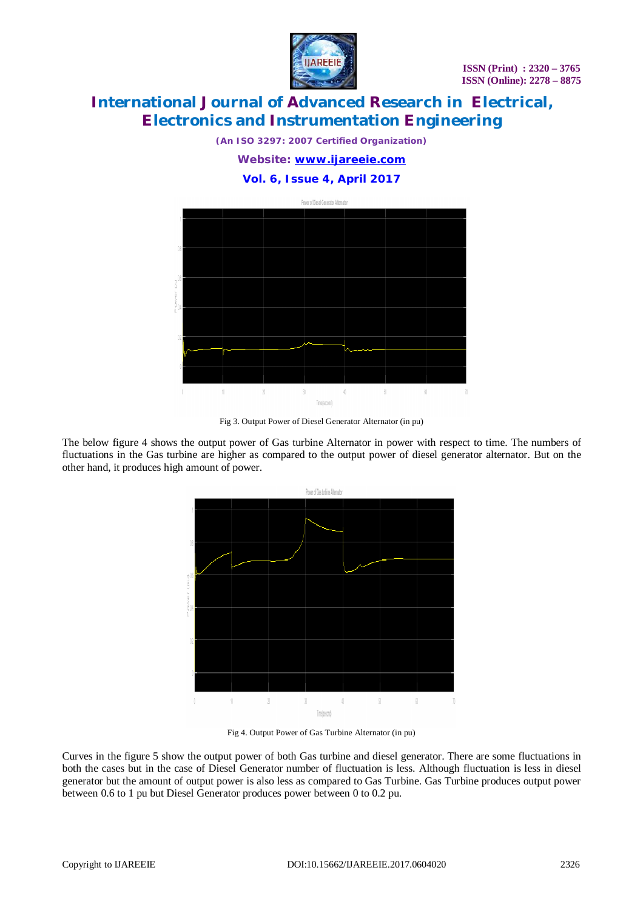

*(An ISO 3297: 2007 Certified Organization)*

*Website: [www.ijareeie.com](http://www.ijareeie.com)*

### **Vol. 6, Issue 4, April 2017**



Fig 3. Output Power of Diesel Generator Alternator (in pu)

The below figure 4 shows the output power of Gas turbine Alternator in power with respect to time. The numbers of fluctuations in the Gas turbine are higher as compared to the output power of diesel generator alternator. But on the other hand, it produces high amount of power.



Fig 4. Output Power of Gas Turbine Alternator (in pu)

Curves in the figure 5 show the output power of both Gas turbine and diesel generator. There are some fluctuations in both the cases but in the case of Diesel Generator number of fluctuation is less. Although fluctuation is less in diesel generator but the amount of output power is also less as compared to Gas Turbine. Gas Turbine produces output power between 0.6 to 1 pu but Diesel Generator produces power between 0 to 0.2 pu.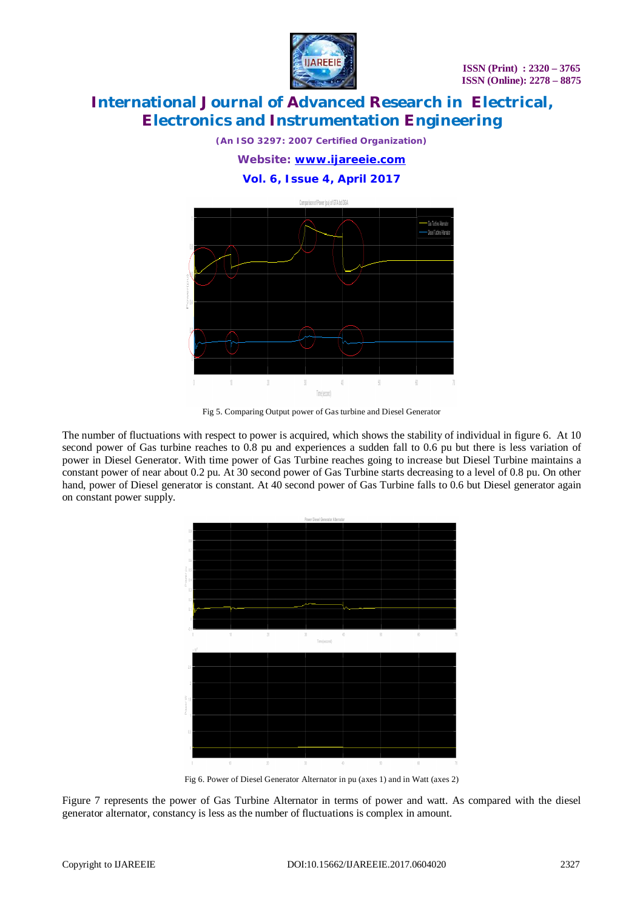

*(An ISO 3297: 2007 Certified Organization)*

*Website: [www.ijareeie.com](http://www.ijareeie.com)*

**Vol. 6, Issue 4, April 2017**



Fig 5. Comparing Output power of Gas turbine and Diesel Generator

The number of fluctuations with respect to power is acquired, which shows the stability of individual in figure 6. At 10 second power of Gas turbine reaches to 0.8 pu and experiences a sudden fall to 0.6 pu but there is less variation of power in Diesel Generator. With time power of Gas Turbine reaches going to increase but Diesel Turbine maintains a constant power of near about 0.2 pu. At 30 second power of Gas Turbine starts decreasing to a level of 0.8 pu. On other hand, power of Diesel generator is constant. At 40 second power of Gas Turbine falls to 0.6 but Diesel generator again on constant power supply.



Fig 6. Power of Diesel Generator Alternator in pu (axes 1) and in Watt (axes 2)

Figure 7 represents the power of Gas Turbine Alternator in terms of power and watt. As compared with the diesel generator alternator, constancy is less as the number of fluctuations is complex in amount.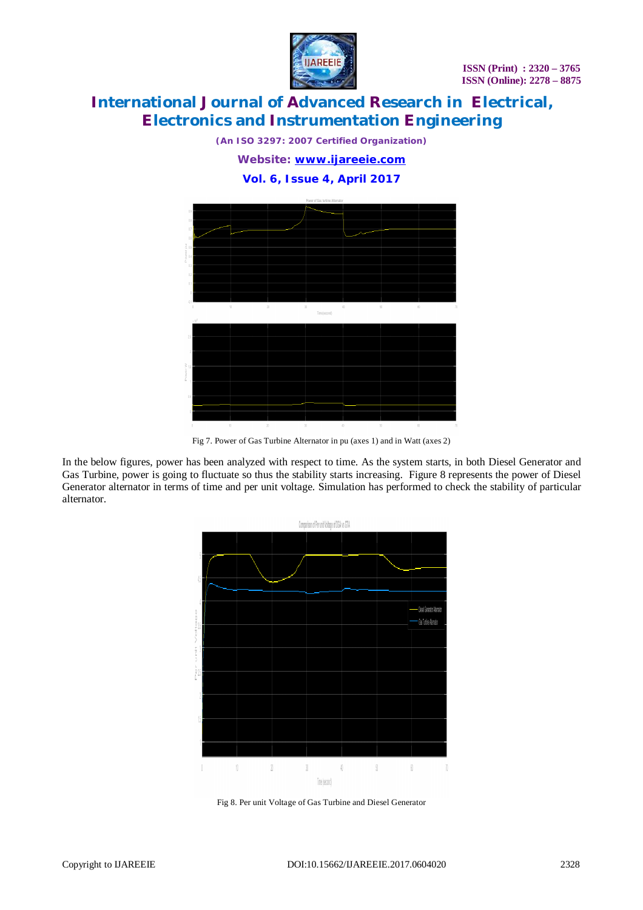

*(An ISO 3297: 2007 Certified Organization)*

*Website: [www.ijareeie.com](http://www.ijareeie.com)*

**Vol. 6, Issue 4, April 2017**



Fig 7. Power of Gas Turbine Alternator in pu (axes 1) and in Watt (axes 2)

In the below figures, power has been analyzed with respect to time. As the system starts, in both Diesel Generator and Gas Turbine, power is going to fluctuate so thus the stability starts increasing. Figure 8 represents the power of Diesel Generator alternator in terms of time and per unit voltage. Simulation has performed to check the stability of particular alternator.



Fig 8. Per unit Voltage of Gas Turbine and Diesel Generator